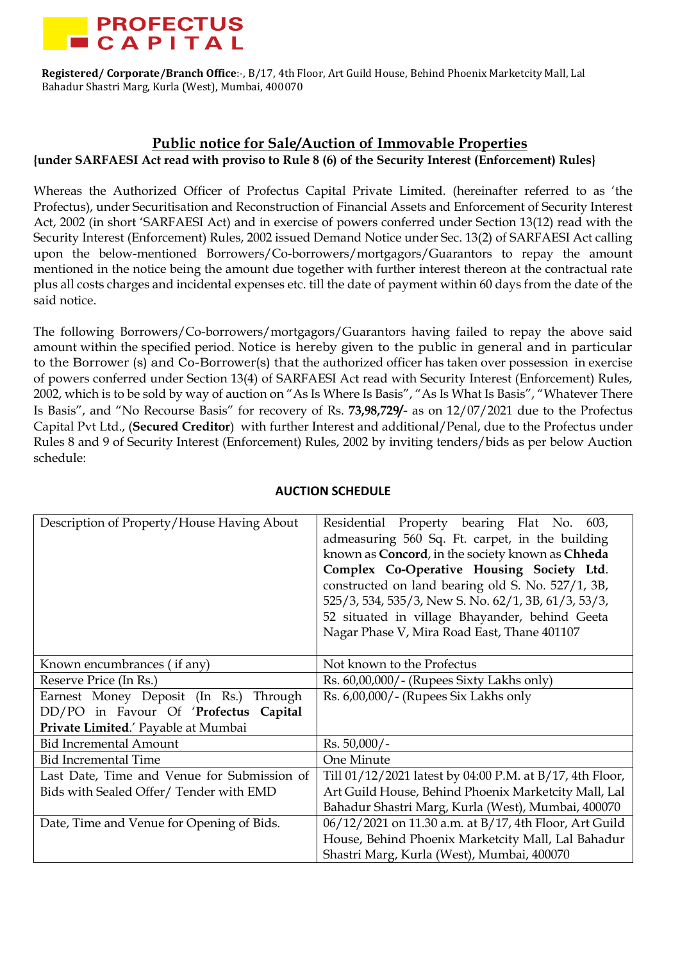

## **Public notice for Sale/Auction of Immovable Properties {under SARFAESI Act read with proviso to Rule 8 (6) of the Security Interest (Enforcement) Rules}**

Whereas the Authorized Officer of Profectus Capital Private Limited. (hereinafter referred to as 'the Profectus), under Securitisation and Reconstruction of Financial Assets and Enforcement of Security Interest Act, 2002 (in short 'SARFAESI Act) and in exercise of powers conferred under Section 13(12) read with the Security Interest (Enforcement) Rules, 2002 issued Demand Notice under Sec. 13(2) of SARFAESI Act calling upon the below-mentioned Borrowers/Co-borrowers/mortgagors/Guarantors to repay the amount mentioned in the notice being the amount due together with further interest thereon at the contractual rate plus all costs charges and incidental expenses etc. till the date of payment within 60 days from the date of the said notice.

The following Borrowers/Co-borrowers/mortgagors/Guarantors having failed to repay the above said amount within the specified period. Notice is hereby given to the public in general and in particular to the Borrower (s) and Co-Borrower(s) that the authorized officer has taken over possession in exercise of powers conferred under Section 13(4) of SARFAESI Act read with Security Interest (Enforcement) Rules, 2002, which is to be sold by way of auction on "As Is Where Is Basis", "As Is What Is Basis", "Whatever There Is Basis", and "No Recourse Basis" for recovery of Rs. **73,98,729/**- as on 12/07/2021 due to the Profectus Capital Pvt Ltd., (**Secured Creditor**) with further Interest and additional/Penal, due to the Profectus under Rules 8 and 9 of Security Interest (Enforcement) Rules, 2002 by inviting tenders/bids as per below Auction schedule:

| Description of Property/House Having About  | Residential Property bearing Flat No. 603,<br>admeasuring 560 Sq. Ft. carpet, in the building<br>known as Concord, in the society known as Chheda<br>Complex Co-Operative Housing Society Ltd.<br>constructed on land bearing old S. No. 527/1, 3B,<br>525/3, 534, 535/3, New S. No. 62/1, 3B, 61/3, 53/3, |
|---------------------------------------------|------------------------------------------------------------------------------------------------------------------------------------------------------------------------------------------------------------------------------------------------------------------------------------------------------------|
|                                             | 52 situated in village Bhayander, behind Geeta<br>Nagar Phase V, Mira Road East, Thane 401107                                                                                                                                                                                                              |
|                                             |                                                                                                                                                                                                                                                                                                            |
| Known encumbrances (if any)                 | Not known to the Profectus                                                                                                                                                                                                                                                                                 |
| Reserve Price (In Rs.)                      | $\text{Rs. } 60,00,000/$ - (Rupees Sixty Lakhs only)                                                                                                                                                                                                                                                       |
| Earnest Money Deposit (In Rs.) Through      | Rs. 6,00,000/- (Rupees Six Lakhs only                                                                                                                                                                                                                                                                      |
| DD/PO in Favour Of 'Profectus Capital       |                                                                                                                                                                                                                                                                                                            |
| Private Limited.' Payable at Mumbai         |                                                                                                                                                                                                                                                                                                            |
| <b>Bid Incremental Amount</b>               | $Rs. 50,000/-$                                                                                                                                                                                                                                                                                             |
| <b>Bid Incremental Time</b>                 | One Minute                                                                                                                                                                                                                                                                                                 |
| Last Date, Time and Venue for Submission of | Till 01/12/2021 latest by 04:00 P.M. at B/17, 4th Floor,                                                                                                                                                                                                                                                   |
| Bids with Sealed Offer/Tender with EMD      | Art Guild House, Behind Phoenix Marketcity Mall, Lal                                                                                                                                                                                                                                                       |
|                                             | Bahadur Shastri Marg, Kurla (West), Mumbai, 400070                                                                                                                                                                                                                                                         |
| Date, Time and Venue for Opening of Bids.   | 06/12/2021 on 11.30 a.m. at B/17, 4th Floor, Art Guild                                                                                                                                                                                                                                                     |
|                                             | House, Behind Phoenix Marketcity Mall, Lal Bahadur                                                                                                                                                                                                                                                         |
|                                             | Shastri Marg, Kurla (West), Mumbai, 400070                                                                                                                                                                                                                                                                 |

## **AUCTION SCHEDULE**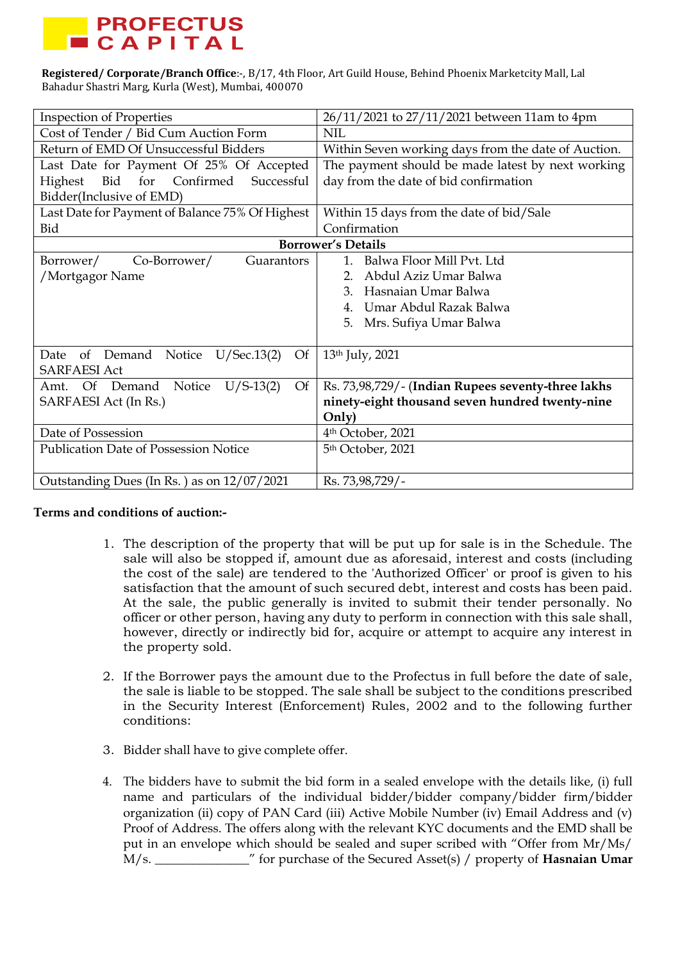

| <b>Inspection of Properties</b>                 | 26/11/2021 to 27/11/2021 between 11am to 4pm        |
|-------------------------------------------------|-----------------------------------------------------|
| Cost of Tender / Bid Cum Auction Form           | <b>NIL</b>                                          |
| Return of EMD Of Unsuccessful Bidders           | Within Seven working days from the date of Auction. |
| Last Date for Payment Of 25% Of Accepted        | The payment should be made latest by next working   |
| Bid<br>for Confirmed<br>Successful<br>Highest   | day from the date of bid confirmation               |
| Bidder(Inclusive of EMD)                        |                                                     |
| Last Date for Payment of Balance 75% Of Highest | Within 15 days from the date of bid/Sale            |
| Bid                                             | Confirmation                                        |
|                                                 | <b>Borrower's Details</b>                           |
| Co-Borrower/<br>Guarantors<br>Borrower/         | Balwa Floor Mill Pvt. Ltd<br>$\mathbf{1}$           |
| /Mortgagor Name                                 | Abdul Aziz Umar Balwa                               |
|                                                 | Hasnaian Umar Balwa<br>3.                           |
|                                                 | Umar Abdul Razak Balwa                              |
|                                                 | Mrs. Sufiya Umar Balwa<br>5.                        |
|                                                 |                                                     |
| of Demand Notice U/Sec.13(2)<br>Date<br>Of      | 13th July, 2021                                     |
| <b>SARFAESI Act</b>                             |                                                     |
| $U/S-13(2)$<br>Of<br>Amt. Of Demand<br>Notice   | Rs. 73,98,729/- (Indian Rupees seventy-three lakhs  |
| SARFAESI Act (In Rs.)                           | ninety-eight thousand seven hundred twenty-nine     |
|                                                 | Only)                                               |
| Date of Possession                              | 4 <sup>th</sup> October, 2021                       |
| <b>Publication Date of Possession Notice</b>    | 5th October, 2021                                   |
|                                                 |                                                     |
| Outstanding Dues (In Rs.) as on 12/07/2021      | Rs. 73,98,729/-                                     |

## **Terms and conditions of auction:-**

- 1. The description of the property that will be put up for sale is in the Schedule. The sale will also be stopped if, amount due as aforesaid, interest and costs (including the cost of the sale) are tendered to the 'Authorized Officer' or proof is given to his satisfaction that the amount of such secured debt, interest and costs has been paid. At the sale, the public generally is invited to submit their tender personally. No officer or other person, having any duty to perform in connection with this sale shall, however, directly or indirectly bid for, acquire or attempt to acquire any interest in the property sold.
- 2. If the Borrower pays the amount due to the Profectus in full before the date of sale, the sale is liable to be stopped. The sale shall be subject to the conditions prescribed in the Security Interest (Enforcement) Rules, 2002 and to the following further conditions:
- 3. Bidder shall have to give complete offer.
- 4. The bidders have to submit the bid form in a sealed envelope with the details like, (i) full name and particulars of the individual bidder/bidder company/bidder firm/bidder organization (ii) copy of PAN Card (iii) Active Mobile Number (iv) Email Address and (v) Proof of Address. The offers along with the relevant KYC documents and the EMD shall be put in an envelope which should be sealed and super scribed with "Offer from Mr/Ms/ M/s. \_\_\_\_\_\_\_\_\_\_\_\_\_\_\_" for purchase of the Secured Asset(s) / property of **Hasnaian Umar**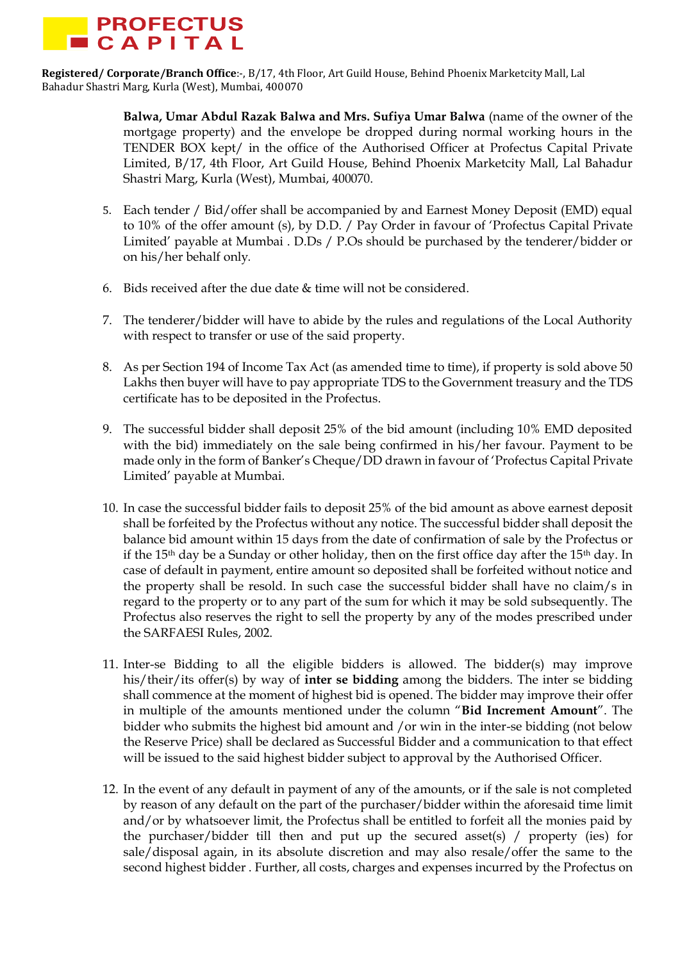

> **Balwa, Umar Abdul Razak Balwa and Mrs. Sufiya Umar Balwa** (name of the owner of the mortgage property) and the envelope be dropped during normal working hours in the TENDER BOX kept/ in the office of the Authorised Officer at Profectus Capital Private Limited, B/17, 4th Floor, Art Guild House, Behind Phoenix Marketcity Mall, Lal Bahadur Shastri Marg, Kurla (West), Mumbai, 400070.

- 5. Each tender / Bid/offer shall be accompanied by and Earnest Money Deposit (EMD) equal to 10% of the offer amount (s), by D.D. / Pay Order in favour of 'Profectus Capital Private Limited' payable at Mumbai . D.Ds / P.Os should be purchased by the tenderer/bidder or on his/her behalf only.
- 6. Bids received after the due date & time will not be considered.
- 7. The tenderer/bidder will have to abide by the rules and regulations of the Local Authority with respect to transfer or use of the said property.
- 8. As per Section 194 of Income Tax Act (as amended time to time), if property is sold above 50 Lakhs then buyer will have to pay appropriate TDS to the Government treasury and the TDS certificate has to be deposited in the Profectus.
- 9. The successful bidder shall deposit 25% of the bid amount (including 10% EMD deposited with the bid) immediately on the sale being confirmed in his/her favour. Payment to be made only in the form of Banker's Cheque/DD drawn in favour of 'Profectus Capital Private Limited' payable at Mumbai.
- 10. In case the successful bidder fails to deposit 25% of the bid amount as above earnest deposit shall be forfeited by the Profectus without any notice. The successful bidder shall deposit the balance bid amount within 15 days from the date of confirmation of sale by the Profectus or if the 15th day be a Sunday or other holiday, then on the first office day after the 15th day. In case of default in payment, entire amount so deposited shall be forfeited without notice and the property shall be resold. In such case the successful bidder shall have no claim/s in regard to the property or to any part of the sum for which it may be sold subsequently. The Profectus also reserves the right to sell the property by any of the modes prescribed under the SARFAESI Rules, 2002.
- 11. Inter-se Bidding to all the eligible bidders is allowed. The bidder(s) may improve his/their/its offer(s) by way of **inter se bidding** among the bidders. The inter se bidding shall commence at the moment of highest bid is opened. The bidder may improve their offer in multiple of the amounts mentioned under the column "**Bid Increment Amount**". The bidder who submits the highest bid amount and /or win in the inter-se bidding (not below the Reserve Price) shall be declared as Successful Bidder and a communication to that effect will be issued to the said highest bidder subject to approval by the Authorised Officer.
- 12. In the event of any default in payment of any of the amounts, or if the sale is not completed by reason of any default on the part of the purchaser/bidder within the aforesaid time limit and/or by whatsoever limit, the Profectus shall be entitled to forfeit all the monies paid by the purchaser/bidder till then and put up the secured asset(s) / property (ies) for sale/disposal again, in its absolute discretion and may also resale/offer the same to the second highest bidder . Further, all costs, charges and expenses incurred by the Profectus on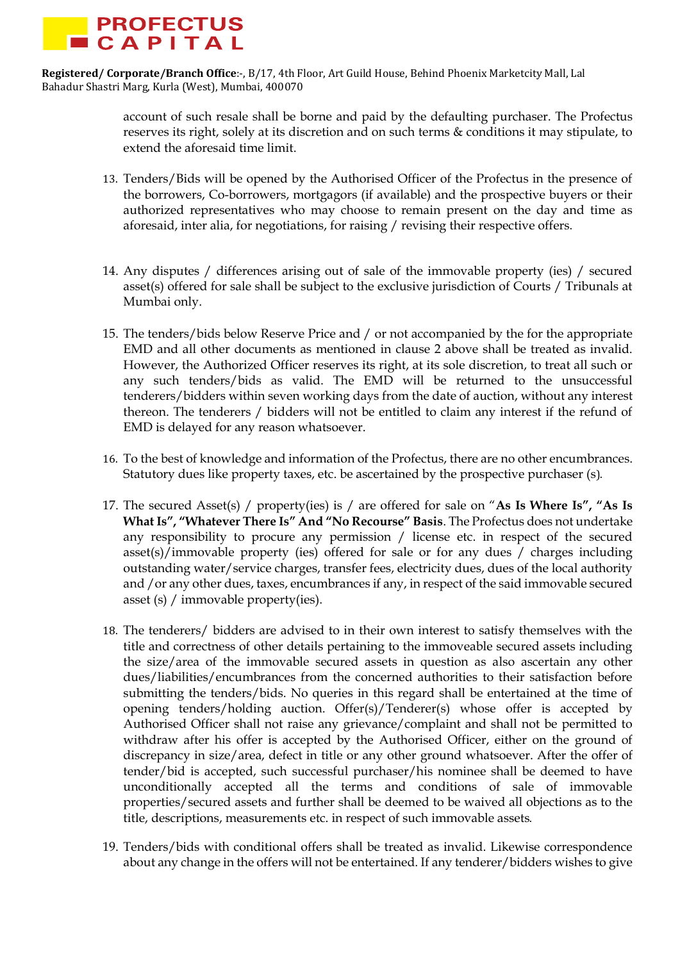

> account of such resale shall be borne and paid by the defaulting purchaser. The Profectus reserves its right, solely at its discretion and on such terms & conditions it may stipulate, to extend the aforesaid time limit.

- 13. Tenders/Bids will be opened by the Authorised Officer of the Profectus in the presence of the borrowers, Co-borrowers, mortgagors (if available) and the prospective buyers or their authorized representatives who may choose to remain present on the day and time as aforesaid, inter alia, for negotiations, for raising / revising their respective offers.
- 14. Any disputes / differences arising out of sale of the immovable property (ies) / secured asset(s) offered for sale shall be subject to the exclusive jurisdiction of Courts / Tribunals at Mumbai only.
- 15. The tenders/bids below Reserve Price and / or not accompanied by the for the appropriate EMD and all other documents as mentioned in clause 2 above shall be treated as invalid. However, the Authorized Officer reserves its right, at its sole discretion, to treat all such or any such tenders/bids as valid. The EMD will be returned to the unsuccessful tenderers/bidders within seven working days from the date of auction, without any interest thereon. The tenderers / bidders will not be entitled to claim any interest if the refund of EMD is delayed for any reason whatsoever.
- 16. To the best of knowledge and information of the Profectus, there are no other encumbrances. Statutory dues like property taxes, etc. be ascertained by the prospective purchaser (s).
- 17. The secured Asset(s) / property(ies) is / are offered for sale on "**As Is Where Is", "As Is What Is", "Whatever There Is" And "No Recourse" Basis**. The Profectus does not undertake any responsibility to procure any permission / license etc. in respect of the secured asset(s)/immovable property (ies) offered for sale or for any dues / charges including outstanding water/service charges, transfer fees, electricity dues, dues of the local authority and /or any other dues, taxes, encumbrances if any, in respect of the said immovable secured asset (s) / immovable property(ies).
- 18. The tenderers/ bidders are advised to in their own interest to satisfy themselves with the title and correctness of other details pertaining to the immoveable secured assets including the size/area of the immovable secured assets in question as also ascertain any other dues/liabilities/encumbrances from the concerned authorities to their satisfaction before submitting the tenders/bids. No queries in this regard shall be entertained at the time of opening tenders/holding auction. Offer(s)/Tenderer(s) whose offer is accepted by Authorised Officer shall not raise any grievance/complaint and shall not be permitted to withdraw after his offer is accepted by the Authorised Officer, either on the ground of discrepancy in size/area, defect in title or any other ground whatsoever. After the offer of tender/bid is accepted, such successful purchaser/his nominee shall be deemed to have unconditionally accepted all the terms and conditions of sale of immovable properties/secured assets and further shall be deemed to be waived all objections as to the title, descriptions, measurements etc. in respect of such immovable assets.
- 19. Tenders/bids with conditional offers shall be treated as invalid. Likewise correspondence about any change in the offers will not be entertained. If any tenderer/bidders wishes to give